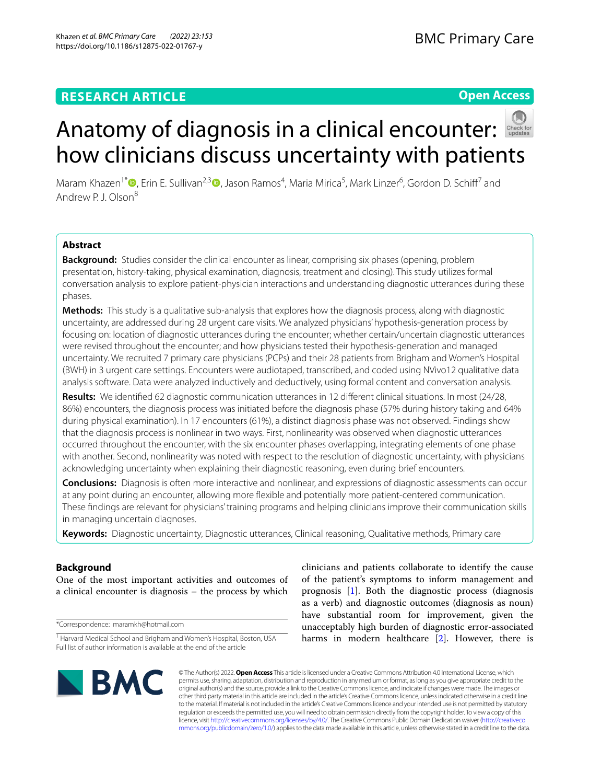## **RESEARCH ARTICLE**

## **Open Access**



# Anatomy of diagnosis in a clinical encounter: how clinicians discuss uncertainty with patients

Maram Khazen<sup>1\*</sup> <sup>(D</sup>[,](http://orcid.org/0000-0003-3165-3496) Erin E. Sullivan<sup>2,[3](https://orcid.org/0000-0002-9118-7936)</sup> (D, Jason Ramos<sup>4</sup>, Maria Mirica<sup>5</sup>, Mark Linzer<sup>6</sup>, Gordon D. Schiff<sup>7</sup> and Andrew P. J. Olson8

## **Abstract**

**Background:** Studies consider the clinical encounter as linear, comprising six phases (opening, problem presentation, history-taking, physical examination, diagnosis, treatment and closing). This study utilizes formal conversation analysis to explore patient-physician interactions and understanding diagnostic utterances during these phases.

**Methods:** This study is a qualitative sub-analysis that explores how the diagnosis process, along with diagnostic uncertainty, are addressed during 28 urgent care visits. We analyzed physicians' hypothesis-generation process by focusing on: location of diagnostic utterances during the encounter; whether certain/uncertain diagnostic utterances were revised throughout the encounter; and how physicians tested their hypothesis-generation and managed uncertainty. We recruited 7 primary care physicians (PCPs) and their 28 patients from Brigham and Women's Hospital (BWH) in 3 urgent care settings. Encounters were audiotaped, transcribed, and coded using NVivo12 qualitative data analysis software. Data were analyzed inductively and deductively, using formal content and conversation analysis.

**Results:** We identifed 62 diagnostic communication utterances in 12 diferent clinical situations. In most (24/28, 86%) encounters, the diagnosis process was initiated before the diagnosis phase (57% during history taking and 64% during physical examination). In 17 encounters (61%), a distinct diagnosis phase was not observed. Findings show that the diagnosis process is nonlinear in two ways. First, nonlinearity was observed when diagnostic utterances occurred throughout the encounter, with the six encounter phases overlapping, integrating elements of one phase with another. Second, nonlinearity was noted with respect to the resolution of diagnostic uncertainty, with physicians acknowledging uncertainty when explaining their diagnostic reasoning, even during brief encounters.

**Conclusions:** Diagnosis is often more interactive and nonlinear, and expressions of diagnostic assessments can occur at any point during an encounter, allowing more fexible and potentially more patient-centered communication. These fndings are relevant for physicians' training programs and helping clinicians improve their communication skills in managing uncertain diagnoses.

**Keywords:** Diagnostic uncertainty, Diagnostic utterances, Clinical reasoning, Qualitative methods, Primary care

## **Background**

One of the most important activities and outcomes of a clinical encounter is diagnosis – the process by which

\*Correspondence: maramkh@hotmail.com

clinicians and patients collaborate to identify the cause of the patient's symptoms to inform management and prognosis [\[1](#page-7-0)]. Both the diagnostic process (diagnosis as a verb) and diagnostic outcomes (diagnosis as noun) have substantial room for improvement, given the unacceptably high burden of diagnostic error-associated harms in modern healthcare [[2\]](#page-7-1). However, there is



© The Author(s) 2022. **Open Access** This article is licensed under a Creative Commons Attribution 4.0 International License, which permits use, sharing, adaptation, distribution and reproduction in any medium or format, as long as you give appropriate credit to the original author(s) and the source, provide a link to the Creative Commons licence, and indicate if changes were made. The images or other third party material in this article are included in the article's Creative Commons licence, unless indicated otherwise in a credit line to the material. If material is not included in the article's Creative Commons licence and your intended use is not permitted by statutory regulation or exceeds the permitted use, you will need to obtain permission directly from the copyright holder. To view a copy of this licence, visit [http://creativecommons.org/licenses/by/4.0/.](http://creativecommons.org/licenses/by/4.0/) The Creative Commons Public Domain Dedication waiver ([http://creativeco](http://creativecommons.org/publicdomain/zero/1.0/) [mmons.org/publicdomain/zero/1.0/](http://creativecommons.org/publicdomain/zero/1.0/)) applies to the data made available in this article, unless otherwise stated in a credit line to the data.

<sup>&</sup>lt;sup>1</sup> Harvard Medical School and Brigham and Women's Hospital, Boston, USA Full list of author information is available at the end of the article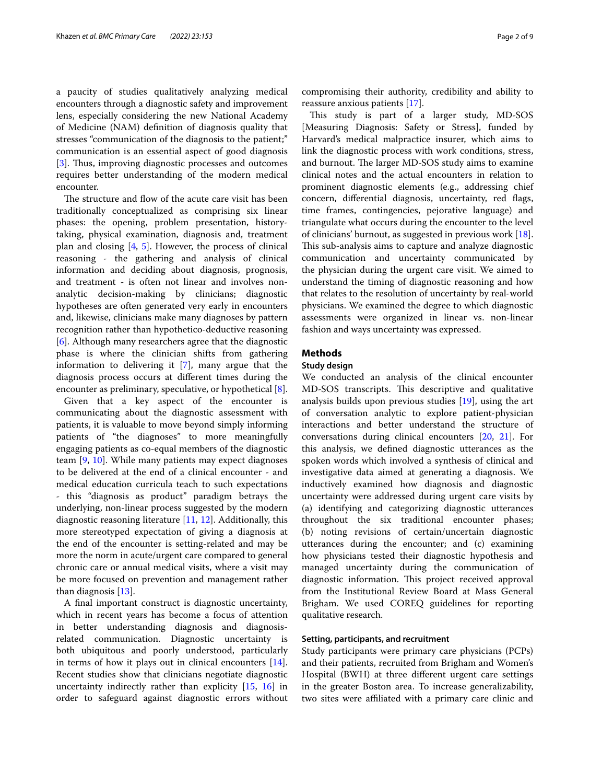a paucity of studies qualitatively analyzing medical encounters through a diagnostic safety and improvement lens, especially considering the new National Academy of Medicine (NAM) defnition of diagnosis quality that stresses "communication of the diagnosis to the patient;" communication is an essential aspect of good diagnosis [[3\]](#page-7-2). Thus, improving diagnostic processes and outcomes requires better understanding of the modern medical encounter.

The structure and flow of the acute care visit has been traditionally conceptualized as comprising six linear phases: the opening, problem presentation, historytaking, physical examination, diagnosis and, treatment plan and closing  $[4, 5]$  $[4, 5]$  $[4, 5]$ . However, the process of clinical reasoning - the gathering and analysis of clinical information and deciding about diagnosis, prognosis, and treatment - is often not linear and involves nonanalytic decision-making by clinicians; diagnostic hypotheses are often generated very early in encounters and, likewise, clinicians make many diagnoses by pattern recognition rather than hypothetico-deductive reasoning [[6\]](#page-7-5). Although many researchers agree that the diagnostic phase is where the clinician shifts from gathering information to delivering it [[7\]](#page-7-6), many argue that the diagnosis process occurs at diferent times during the encounter as preliminary, speculative, or hypothetical [\[8](#page-7-7)].

Given that a key aspect of the encounter is communicating about the diagnostic assessment with patients, it is valuable to move beyond simply informing patients of "the diagnoses" to more meaningfully engaging patients as co-equal members of the diagnostic team [\[9](#page-7-8), [10](#page-7-9)]. While many patients may expect diagnoses to be delivered at the end of a clinical encounter - and medical education curricula teach to such expectations - this "diagnosis as product" paradigm betrays the underlying, non-linear process suggested by the modern diagnostic reasoning literature [[11,](#page-7-10) [12](#page-7-11)]. Additionally, this more stereotyped expectation of giving a diagnosis at the end of the encounter is setting-related and may be more the norm in acute/urgent care compared to general chronic care or annual medical visits, where a visit may be more focused on prevention and management rather than diagnosis [\[13](#page-8-0)].

A fnal important construct is diagnostic uncertainty, which in recent years has become a focus of attention in better understanding diagnosis and diagnosisrelated communication. Diagnostic uncertainty is both ubiquitous and poorly understood, particularly in terms of how it plays out in clinical encounters [\[14](#page-8-1)]. Recent studies show that clinicians negotiate diagnostic uncertainty indirectly rather than explicity [[15,](#page-8-2) [16](#page-8-3)] in order to safeguard against diagnostic errors without compromising their authority, credibility and ability to reassure anxious patients [[17\]](#page-8-4).

This study is part of a larger study, MD-SOS [Measuring Diagnosis: Safety or Stress], funded by Harvard's medical malpractice insurer, which aims to link the diagnostic process with work conditions, stress, and burnout. The larger MD-SOS study aims to examine clinical notes and the actual encounters in relation to prominent diagnostic elements (e.g., addressing chief concern, diferential diagnosis, uncertainty, red fags, time frames, contingencies, pejorative language) and triangulate what occurs during the encounter to the level of clinicians' burnout, as suggested in previous work [\[18](#page-8-5)]. This sub-analysis aims to capture and analyze diagnostic communication and uncertainty communicated by the physician during the urgent care visit. We aimed to understand the timing of diagnostic reasoning and how that relates to the resolution of uncertainty by real-world physicians. We examined the degree to which diagnostic assessments were organized in linear vs. non-linear fashion and ways uncertainty was expressed.

## **Methods**

## **Study design**

We conducted an analysis of the clinical encounter MD-SOS transcripts. This descriptive and qualitative analysis builds upon previous studies [[19](#page-8-6)], using the art of conversation analytic to explore patient-physician interactions and better understand the structure of conversations during clinical encounters [[20,](#page-8-7) [21](#page-8-8)]. For this analysis, we defned diagnostic utterances as the spoken words which involved a synthesis of clinical and investigative data aimed at generating a diagnosis. We inductively examined how diagnosis and diagnostic uncertainty were addressed during urgent care visits by (a) identifying and categorizing diagnostic utterances throughout the six traditional encounter phases; (b) noting revisions of certain/uncertain diagnostic utterances during the encounter; and (c) examining how physicians tested their diagnostic hypothesis and managed uncertainty during the communication of diagnostic information. This project received approval from the Institutional Review Board at Mass General Brigham. We used COREQ guidelines for reporting qualitative research.

## **Setting, participants, and recruitment**

Study participants were primary care physicians (PCPs) and their patients, recruited from Brigham and Women's Hospital (BWH) at three diferent urgent care settings in the greater Boston area. To increase generalizability, two sites were afliated with a primary care clinic and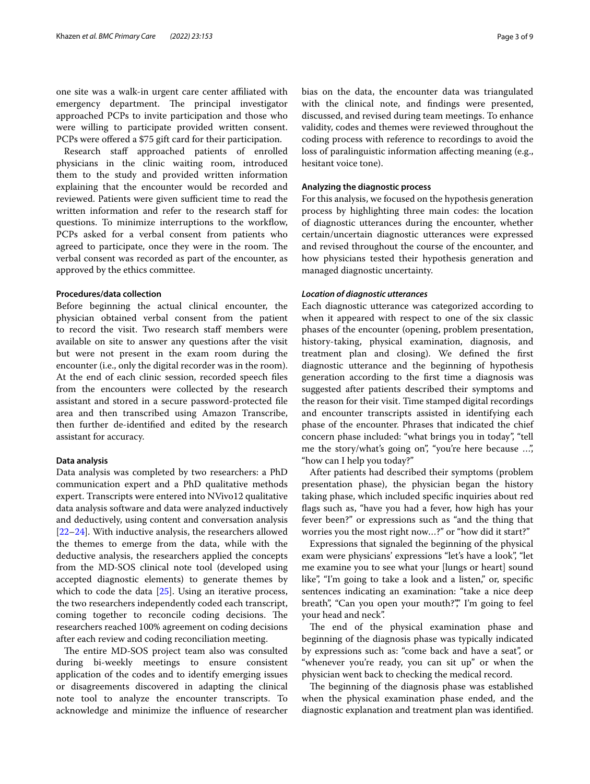one site was a walk-in urgent care center afliated with emergency department. The principal investigator approached PCPs to invite participation and those who were willing to participate provided written consent. PCPs were offered a \$75 gift card for their participation.

Research staf approached patients of enrolled physicians in the clinic waiting room, introduced them to the study and provided written information explaining that the encounter would be recorded and reviewed. Patients were given sufficient time to read the written information and refer to the research staff for questions. To minimize interruptions to the workflow, PCPs asked for a verbal consent from patients who agreed to participate, once they were in the room. The verbal consent was recorded as part of the encounter, as approved by the ethics committee.

## **Procedures/data collection**

Before beginning the actual clinical encounter, the physician obtained verbal consent from the patient to record the visit. Two research staff members were available on site to answer any questions after the visit but were not present in the exam room during the encounter (i.e., only the digital recorder was in the room). At the end of each clinic session, recorded speech fles from the encounters were collected by the research assistant and stored in a secure password-protected fle area and then transcribed using Amazon Transcribe, then further de-identifed and edited by the research assistant for accuracy.

## **Data analysis**

Data analysis was completed by two researchers: a PhD communication expert and a PhD qualitative methods expert. Transcripts were entered into NVivo12 qualitative data analysis software and data were analyzed inductively and deductively, using content and conversation analysis [[22–](#page-8-9)[24](#page-8-10)]. With inductive analysis, the researchers allowed the themes to emerge from the data, while with the deductive analysis, the researchers applied the concepts from the MD-SOS clinical note tool (developed using accepted diagnostic elements) to generate themes by which to code the data  $[25]$  $[25]$ . Using an iterative process, the two researchers independently coded each transcript, coming together to reconcile coding decisions. The researchers reached 100% agreement on coding decisions after each review and coding reconciliation meeting.

The entire MD-SOS project team also was consulted during bi-weekly meetings to ensure consistent application of the codes and to identify emerging issues or disagreements discovered in adapting the clinical note tool to analyze the encounter transcripts. To acknowledge and minimize the infuence of researcher bias on the data, the encounter data was triangulated with the clinical note, and fndings were presented, discussed, and revised during team meetings. To enhance validity, codes and themes were reviewed throughout the coding process with reference to recordings to avoid the loss of paralinguistic information afecting meaning (e.g., hesitant voice tone).

## **Analyzing the diagnostic process**

For this analysis, we focused on the hypothesis generation process by highlighting three main codes: the location of diagnostic utterances during the encounter, whether certain/uncertain diagnostic utterances were expressed and revised throughout the course of the encounter, and how physicians tested their hypothesis generation and managed diagnostic uncertainty.

#### *Location of diagnostic utterances*

Each diagnostic utterance was categorized according to when it appeared with respect to one of the six classic phases of the encounter (opening, problem presentation, history-taking, physical examination, diagnosis, and treatment plan and closing). We defned the frst diagnostic utterance and the beginning of hypothesis generation according to the frst time a diagnosis was suggested after patients described their symptoms and the reason for their visit. Time stamped digital recordings and encounter transcripts assisted in identifying each phase of the encounter. Phrases that indicated the chief concern phase included: "what brings you in today", "tell me the story/what's going on", "you're here because ...", "how can I help you today?"

After patients had described their symptoms (problem presentation phase), the physician began the history taking phase, which included specifc inquiries about red fags such as, "have you had a fever, how high has your fever been?" or expressions such as "and the thing that worries you the most right now…?" or "how did it start?"

Expressions that signaled the beginning of the physical exam were physicians' expressions "let's have a look", "let me examine you to see what your [lungs or heart] sound like", "I'm going to take a look and a listen," or, specific sentences indicating an examination: "take a nice deep breath", "Can you open your mouth?"," I'm going to feel your head and neck".

The end of the physical examination phase and beginning of the diagnosis phase was typically indicated by expressions such as: "come back and have a seat", or "whenever you're ready, you can sit up" or when the physician went back to checking the medical record.

The beginning of the diagnosis phase was established when the physical examination phase ended, and the diagnostic explanation and treatment plan was identifed.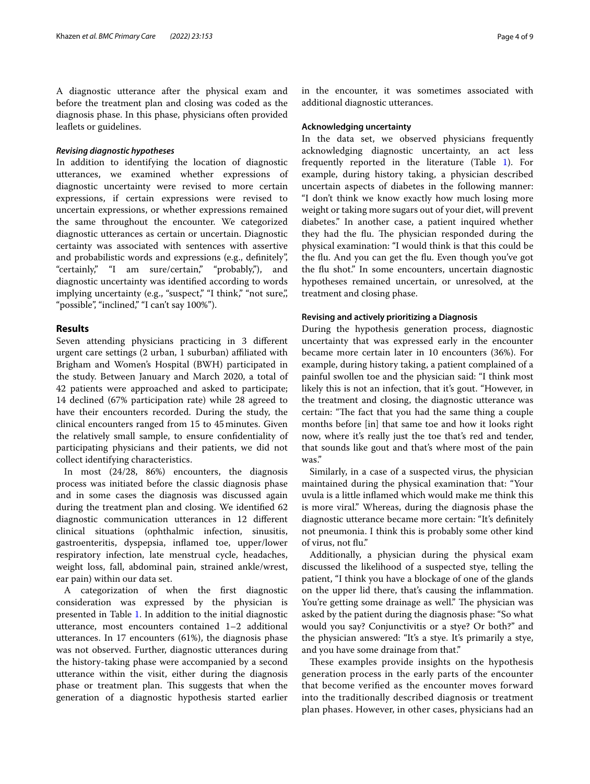A diagnostic utterance after the physical exam and before the treatment plan and closing was coded as the diagnosis phase. In this phase, physicians often provided leaflets or guidelines.

## *Revising diagnostic hypotheses*

In addition to identifying the location of diagnostic utterances, we examined whether expressions of diagnostic uncertainty were revised to more certain expressions, if certain expressions were revised to uncertain expressions, or whether expressions remained the same throughout the encounter. We categorized diagnostic utterances as certain or uncertain. Diagnostic certainty was associated with sentences with assertive and probabilistic words and expressions (e.g., defnitely", "certainly," "I am sure/certain," "probably,"), and diagnostic uncertainty was identifed according to words implying uncertainty (e.g., "suspect," "I think," "not sure,", "possible", "inclined," "I can't say 100%").

## **Results**

Seven attending physicians practicing in 3 diferent urgent care settings (2 urban, 1 suburban) afliated with Brigham and Women's Hospital (BWH) participated in the study. Between January and March 2020, a total of 42 patients were approached and asked to participate; 14 declined (67% participation rate) while 28 agreed to have their encounters recorded. During the study, the clinical encounters ranged from 15 to 45minutes. Given the relatively small sample, to ensure confdentiality of participating physicians and their patients, we did not collect identifying characteristics.

In most (24/28, 86%) encounters, the diagnosis process was initiated before the classic diagnosis phase and in some cases the diagnosis was discussed again during the treatment plan and closing. We identifed 62 diagnostic communication utterances in 12 diferent clinical situations (ophthalmic infection, sinusitis, gastroenteritis, dyspepsia, infamed toe, upper/lower respiratory infection, late menstrual cycle, headaches, weight loss, fall, abdominal pain, strained ankle/wrest, ear pain) within our data set.

A categorization of when the frst diagnostic consideration was expressed by the physician is presented in Table [1.](#page-4-0) In addition to the initial diagnostic utterance, most encounters contained 1–2 additional utterances. In 17 encounters (61%), the diagnosis phase was not observed. Further, diagnostic utterances during the history-taking phase were accompanied by a second utterance within the visit, either during the diagnosis phase or treatment plan. This suggests that when the generation of a diagnostic hypothesis started earlier in the encounter, it was sometimes associated with additional diagnostic utterances.

#### **Acknowledging uncertainty**

In the data set, we observed physicians frequently acknowledging diagnostic uncertainty, an act less frequently reported in the literature (Table [1\)](#page-4-0). For example, during history taking, a physician described uncertain aspects of diabetes in the following manner: "I don't think we know exactly how much losing more weight or taking more sugars out of your diet, will prevent diabetes." In another case, a patient inquired whether they had the flu. The physician responded during the physical examination: "I would think is that this could be the fu. And you can get the fu. Even though you've got the flu shot." In some encounters, uncertain diagnostic hypotheses remained uncertain, or unresolved, at the treatment and closing phase.

## **Revising and actively prioritizing a Diagnosis**

During the hypothesis generation process, diagnostic uncertainty that was expressed early in the encounter became more certain later in 10 encounters (36%). For example, during history taking, a patient complained of a painful swollen toe and the physician said: "I think most likely this is not an infection, that it's gout. "However, in the treatment and closing, the diagnostic utterance was certain: "The fact that you had the same thing a couple months before [in] that same toe and how it looks right now, where it's really just the toe that's red and tender, that sounds like gout and that's where most of the pain was."

Similarly, in a case of a suspected virus, the physician maintained during the physical examination that: "Your uvula is a little infamed which would make me think this is more viral." Whereas, during the diagnosis phase the diagnostic utterance became more certain: "It's defnitely not pneumonia. I think this is probably some other kind of virus, not fu."

Additionally, a physician during the physical exam discussed the likelihood of a suspected stye, telling the patient, "I think you have a blockage of one of the glands on the upper lid there, that's causing the infammation. You're getting some drainage as well." The physician was asked by the patient during the diagnosis phase: "So what would you say? Conjunctivitis or a stye? Or both?" and the physician answered: "It's a stye. It's primarily a stye, and you have some drainage from that."

These examples provide insights on the hypothesis generation process in the early parts of the encounter that become verifed as the encounter moves forward into the traditionally described diagnosis or treatment plan phases. However, in other cases, physicians had an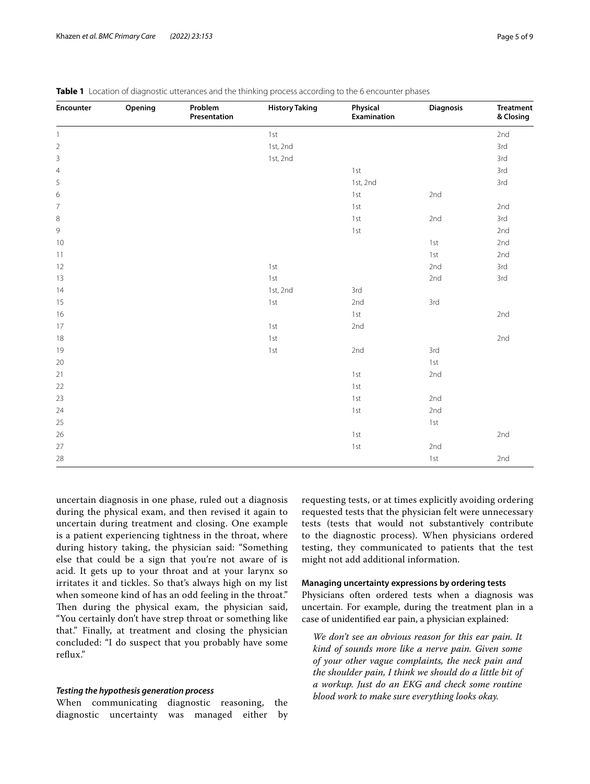| Encounter      | Opening | Problem<br>Presentation | <b>History Taking</b> | Physical<br>Examination | Diagnosis | <b>Treatment</b><br>& Closing |
|----------------|---------|-------------------------|-----------------------|-------------------------|-----------|-------------------------------|
| $\mathbf{1}$   |         |                         | $1st$                 |                         |           | 2nd                           |
| $\overline{2}$ |         |                         | 1st, 2nd              |                         |           | 3rd                           |
| $\mathsf 3$    |         |                         | 1st, 2nd              |                         |           | 3rd                           |
| $\overline{4}$ |         |                         |                       | 1st                     |           | 3rd                           |
| 5              |         |                         |                       | 1st, 2nd                |           | 3rd                           |
| 6              |         |                         |                       | 1st                     | 2nd       |                               |
| 7              |         |                         |                       | 1st                     |           | 2nd                           |
| $\,8\,$        |         |                         |                       | 1st                     | 2nd       | 3rd                           |
| 9              |         |                         |                       | $1st$                   |           | 2nd                           |
| 10             |         |                         |                       |                         | 1st       | 2nd                           |
| 11             |         |                         |                       |                         | 1st       | 2nd                           |
| 12             |         |                         | $1st$                 |                         | 2nd       | 3rd                           |
| 13             |         |                         | 1st                   |                         | 2nd       | 3rd                           |
| 14             |         |                         | 1st, 2nd              | 3rd                     |           |                               |
| 15             |         |                         | $1st$                 | 2nd                     | 3rd       |                               |
| 16             |         |                         |                       | 1st                     |           | 2nd                           |
| 17             |         |                         | 1st                   | 2nd                     |           |                               |
| 18             |         |                         | 1st                   |                         |           | 2nd                           |
| 19             |         |                         | 1st                   | 2nd                     | 3rd       |                               |
| 20             |         |                         |                       |                         | 1st       |                               |
| 21             |         |                         |                       | 1st                     | 2nd       |                               |
| 22             |         |                         |                       | 1st                     |           |                               |
| 23             |         |                         |                       | 1st                     | 2nd       |                               |
| 24             |         |                         |                       | 1st                     | 2nd       |                               |
| 25             |         |                         |                       |                         | 1st       |                               |
| 26             |         |                         |                       | 1st                     |           | 2nd                           |
| 27             |         |                         |                       | 1st                     | 2nd       |                               |
| 28             |         |                         |                       |                         | $1st$     | 2nd                           |

<span id="page-4-0"></span>

uncertain diagnosis in one phase, ruled out a diagnosis during the physical exam, and then revised it again to uncertain during treatment and closing. One example is a patient experiencing tightness in the throat, where during history taking, the physician said: "Something else that could be a sign that you're not aware of is acid. It gets up to your throat and at your larynx so irritates it and tickles. So that's always high on my list when someone kind of has an odd feeling in the throat." Then during the physical exam, the physician said, "You certainly don't have strep throat or something like that." Finally, at treatment and closing the physician concluded: "I do suspect that you probably have some refux."

## *Testing the hypothesis generation process*

When communicating diagnostic reasoning, the diagnostic uncertainty was managed either by requesting tests, or at times explicitly avoiding ordering requested tests that the physician felt were unnecessary tests (tests that would not substantively contribute to the diagnostic process). When physicians ordered testing, they communicated to patients that the test might not add additional information.

## **Managing uncertainty expressions by ordering tests**

Physicians often ordered tests when a diagnosis was uncertain. For example, during the treatment plan in a case of unidentifed ear pain, a physician explained:

*We don't see an obvious reason for this ear pain. It kind of sounds more like a nerve pain. Given some of your other vague complaints, the neck pain and the shoulder pain, I think we should do a little bit of a workup. Just do an EKG and check some routine blood work to make sure everything looks okay.*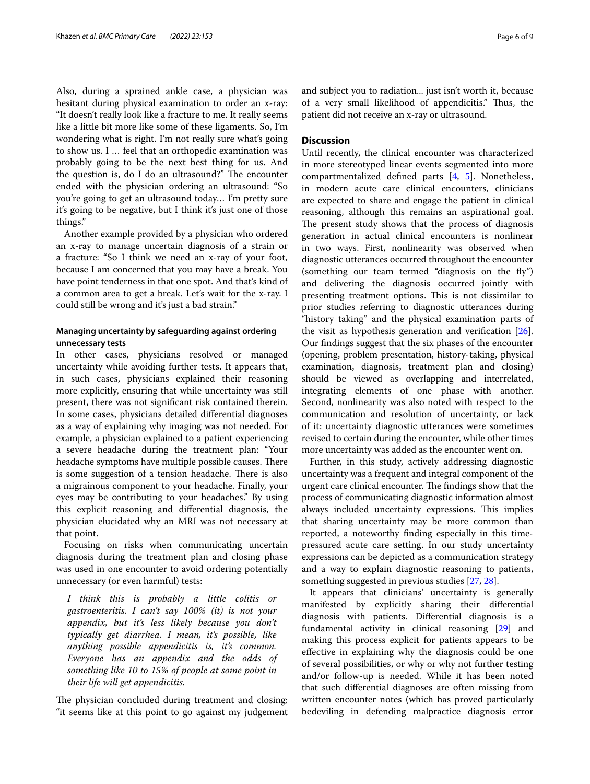Also, during a sprained ankle case, a physician was hesitant during physical examination to order an x-ray: "It doesn't really look like a fracture to me. It really seems like a little bit more like some of these ligaments. So, I'm wondering what is right. I'm not really sure what's going to show us. I … feel that an orthopedic examination was probably going to be the next best thing for us. And the question is, do I do an ultrasound?" The encounter ended with the physician ordering an ultrasound: "So you're going to get an ultrasound today… I'm pretty sure it's going to be negative, but I think it's just one of those things."

Another example provided by a physician who ordered an x-ray to manage uncertain diagnosis of a strain or a fracture: "So I think we need an x-ray of your foot, because I am concerned that you may have a break. You have point tenderness in that one spot. And that's kind of a common area to get a break. Let's wait for the x-ray. I could still be wrong and it's just a bad strain."

## **Managing uncertainty by safeguarding against ordering unnecessary tests**

In other cases, physicians resolved or managed uncertainty while avoiding further tests. It appears that, in such cases, physicians explained their reasoning more explicitly, ensuring that while uncertainty was still present, there was not signifcant risk contained therein. In some cases, physicians detailed diferential diagnoses as a way of explaining why imaging was not needed. For example, a physician explained to a patient experiencing a severe headache during the treatment plan: "Your headache symptoms have multiple possible causes. There is some suggestion of a tension headache. There is also a migrainous component to your headache. Finally, your eyes may be contributing to your headaches." By using this explicit reasoning and diferential diagnosis, the physician elucidated why an MRI was not necessary at that point.

Focusing on risks when communicating uncertain diagnosis during the treatment plan and closing phase was used in one encounter to avoid ordering potentially unnecessary (or even harmful) tests:

*I think this is probably a little colitis or gastroenteritis. I can't say 100% (it) is not your appendix, but it's less likely because you don't typically get diarrhea. I mean, it's possible, like anything possible appendicitis is, it's common. Everyone has an appendix and the odds of something like 10 to 15% of people at some point in their life will get appendicitis.*

The physician concluded during treatment and closing: "it seems like at this point to go against my judgement and subject you to radiation... just isn't worth it, because of a very small likelihood of appendicitis." Thus, the patient did not receive an x-ray or ultrasound.

## **Discussion**

Until recently, the clinical encounter was characterized in more stereotyped linear events segmented into more compartmentalized defned parts [[4,](#page-7-3) [5\]](#page-7-4). Nonetheless, in modern acute care clinical encounters, clinicians are expected to share and engage the patient in clinical reasoning, although this remains an aspirational goal. The present study shows that the process of diagnosis generation in actual clinical encounters is nonlinear in two ways. First, nonlinearity was observed when diagnostic utterances occurred throughout the encounter (something our team termed "diagnosis on the fy") and delivering the diagnosis occurred jointly with presenting treatment options. This is not dissimilar to prior studies referring to diagnostic utterances during "history taking" and the physical examination parts of the visit as hypothesis generation and verification  $[26]$  $[26]$ . Our fndings suggest that the six phases of the encounter (opening, problem presentation, history-taking, physical examination, diagnosis, treatment plan and closing) should be viewed as overlapping and interrelated, integrating elements of one phase with another. Second, nonlinearity was also noted with respect to the communication and resolution of uncertainty, or lack of it: uncertainty diagnostic utterances were sometimes revised to certain during the encounter, while other times more uncertainty was added as the encounter went on.

Further, in this study, actively addressing diagnostic uncertainty was a frequent and integral component of the urgent care clinical encounter. The findings show that the process of communicating diagnostic information almost always included uncertainty expressions. This implies that sharing uncertainty may be more common than reported, a noteworthy fnding especially in this timepressured acute care setting. In our study uncertainty expressions can be depicted as a communication strategy and a way to explain diagnostic reasoning to patients, something suggested in previous studies [\[27](#page-8-13), [28\]](#page-8-14).

It appears that clinicians' uncertainty is generally manifested by explicitly sharing their diferential diagnosis with patients. Diferential diagnosis is a fundamental activity in clinical reasoning [\[29\]](#page-8-15) and making this process explicit for patients appears to be efective in explaining why the diagnosis could be one of several possibilities, or why or why not further testing and/or follow-up is needed. While it has been noted that such diferential diagnoses are often missing from written encounter notes (which has proved particularly bedeviling in defending malpractice diagnosis error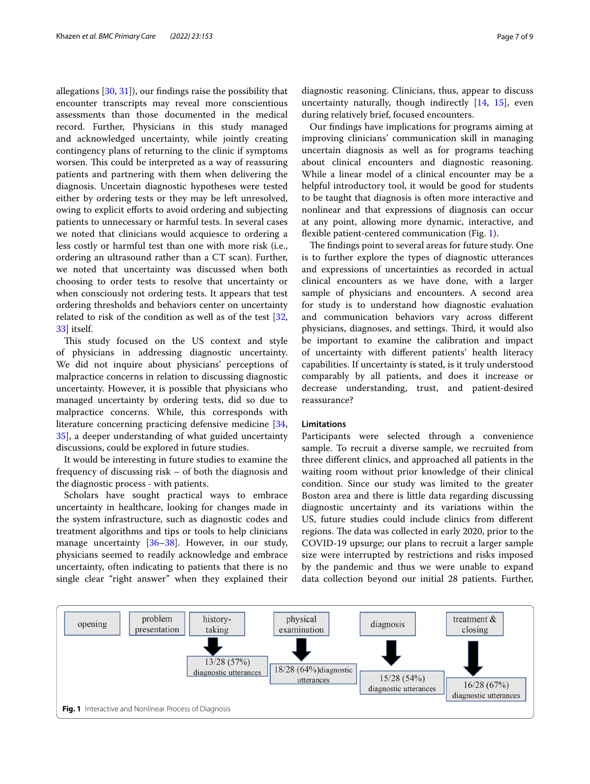allegations [[30,](#page-8-16) [31](#page-8-17)]), our fndings raise the possibility that encounter transcripts may reveal more conscientious assessments than those documented in the medical record. Further, Physicians in this study managed and acknowledged uncertainty, while jointly creating contingency plans of returning to the clinic if symptoms worsen. This could be interpreted as a way of reassuring patients and partnering with them when delivering the diagnosis. Uncertain diagnostic hypotheses were tested either by ordering tests or they may be left unresolved, owing to explicit efforts to avoid ordering and subjecting patients to unnecessary or harmful tests. In several cases we noted that clinicians would acquiesce to ordering a less costly or harmful test than one with more risk (i.e., ordering an ultrasound rather than a CT scan). Further, we noted that uncertainty was discussed when both choosing to order tests to resolve that uncertainty or when consciously not ordering tests. It appears that test ordering thresholds and behaviors center on uncertainty related to risk of the condition as well as of the test [\[32](#page-8-18), [33\]](#page-8-19) itself.

This study focused on the US context and style of physicians in addressing diagnostic uncertainty. We did not inquire about physicians' perceptions of malpractice concerns in relation to discussing diagnostic uncertainty. However, it is possible that physicians who managed uncertainty by ordering tests, did so due to malpractice concerns. While, this corresponds with literature concerning practicing defensive medicine [\[34](#page-8-20), [35\]](#page-8-21), a deeper understanding of what guided uncertainty discussions, could be explored in future studies.

It would be interesting in future studies to examine the frequency of discussing risk – of both the diagnosis and the diagnostic process - with patients.

Scholars have sought practical ways to embrace uncertainty in healthcare, looking for changes made in the system infrastructure, such as diagnostic codes and treatment algorithms and tips or tools to help clinicians manage uncertainty [[36](#page-8-22)[–38](#page-8-23)]. However, in our study, physicians seemed to readily acknowledge and embrace uncertainty, often indicating to patients that there is no single clear "right answer" when they explained their

diagnostic reasoning. Clinicians, thus, appear to discuss uncertainty naturally, though indirectly [[14,](#page-8-1) [15\]](#page-8-2), even during relatively brief, focused encounters.

Our fndings have implications for programs aiming at improving clinicians' communication skill in managing uncertain diagnosis as well as for programs teaching about clinical encounters and diagnostic reasoning. While a linear model of a clinical encounter may be a helpful introductory tool, it would be good for students to be taught that diagnosis is often more interactive and nonlinear and that expressions of diagnosis can occur at any point, allowing more dynamic, interactive, and fexible patient-centered communication (Fig. [1](#page-6-0)).

The findings point to several areas for future study. One is to further explore the types of diagnostic utterances and expressions of uncertainties as recorded in actual clinical encounters as we have done, with a larger sample of physicians and encounters. A second area for study is to understand how diagnostic evaluation and communication behaviors vary across diferent physicians, diagnoses, and settings. Third, it would also be important to examine the calibration and impact of uncertainty with diferent patients' health literacy capabilities. If uncertainty is stated, is it truly understood comparably by all patients, and does it increase or decrease understanding, trust, and patient-desired reassurance?

## **Limitations**

Participants were selected through a convenience sample. To recruit a diverse sample, we recruited from three diferent clinics, and approached all patients in the waiting room without prior knowledge of their clinical condition. Since our study was limited to the greater Boston area and there is little data regarding discussing diagnostic uncertainty and its variations within the US, future studies could include clinics from diferent regions. The data was collected in early 2020, prior to the COVID-19 upsurge; our plans to recruit a larger sample size were interrupted by restrictions and risks imposed by the pandemic and thus we were unable to expand data collection beyond our initial 28 patients. Further,

<span id="page-6-0"></span>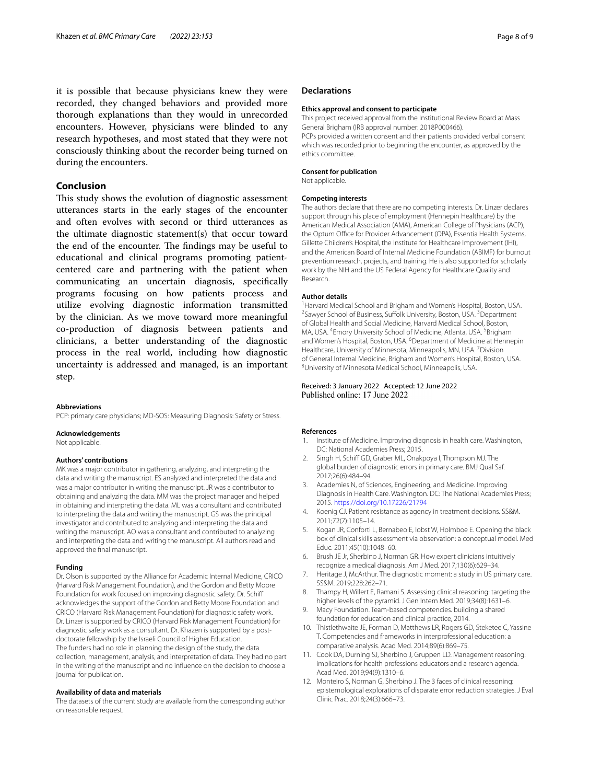it is possible that because physicians knew they were recorded, they changed behaviors and provided more thorough explanations than they would in unrecorded encounters. However, physicians were blinded to any research hypotheses, and most stated that they were not consciously thinking about the recorder being turned on during the encounters.

## **Conclusion**

This study shows the evolution of diagnostic assessment utterances starts in the early stages of the encounter and often evolves with second or third utterances as the ultimate diagnostic statement(s) that occur toward the end of the encounter. The findings may be useful to educational and clinical programs promoting patientcentered care and partnering with the patient when communicating an uncertain diagnosis, specifcally programs focusing on how patients process and utilize evolving diagnostic information transmitted by the clinician. As we move toward more meaningful co-production of diagnosis between patients and clinicians, a better understanding of the diagnostic process in the real world, including how diagnostic uncertainty is addressed and managed, is an important step.

**Abbreviations**

PCP: primary care physicians; MD-SOS: Measuring Diagnosis: Safety or Stress.

#### **Acknowledgements**

Not applicable.

#### **Authors' contributions**

MK was a major contributor in gathering, analyzing, and interpreting the data and writing the manuscript. ES analyzed and interpreted the data and was a major contributor in writing the manuscript. JR was a contributor to obtaining and analyzing the data. MM was the project manager and helped in obtaining and interpreting the data. ML was a consultant and contributed to interpreting the data and writing the manuscript. GS was the principal investigator and contributed to analyzing and interpreting the data and writing the manuscript. AO was a consultant and contributed to analyzing and interpreting the data and writing the manuscript. All authors read and approved the fnal manuscript.

#### **Funding**

Dr. Olson is supported by the Alliance for Academic Internal Medicine, CRICO (Harvard Risk Management Foundation), and the Gordon and Betty Moore Foundation for work focused on improving diagnostic safety. Dr. Schif acknowledges the support of the Gordon and Betty Moore Foundation and CRICO (Harvard Risk Management Foundation) for diagnostic safety work. Dr. Linzer is supported by CRICO (Harvard Risk Management Foundation) for diagnostic safety work as a consultant. Dr. Khazen is supported by a postdoctorate fellowship by the Israeli Council of Higher Education. The funders had no role in planning the design of the study, the data collection, management, analysis, and interpretation of data. They had no part in the writing of the manuscript and no infuence on the decision to choose a journal for publication.

## **Availability of data and materials**

The datasets of the current study are available from the corresponding author on reasonable request.

#### **Declarations**

#### **Ethics approval and consent to participate**

This project received approval from the Institutional Review Board at Mass General Brigham (IRB approval number: 2018P000466). PCPs provided a written consent and their patients provided verbal consent which was recorded prior to beginning the encounter, as approved by the ethics committee.

#### **Consent for publication**

Not applicable.

#### **Competing interests**

The authors declare that there are no competing interests. Dr. Linzer declares support through his place of employment (Hennepin Healthcare) by the American Medical Association (AMA), American College of Physicians (ACP), the Optum Office for Provider Advancement (OPA), Essentia Health Systems, Gillette Children's Hospital, the Institute for Healthcare Improvement (IHI), and the American Board of Internal Medicine Foundation (ABIMF) for burnout prevention research, projects, and training. He is also supported for scholarly work by the NIH and the US Federal Agency for Healthcare Quality and Research.

#### **Author details**

<sup>1</sup> Harvard Medical School and Brigham and Women's Hospital, Boston, USA.<br><sup>2</sup>Sammer School of Business, Suffolk University Boston, USA, <sup>3</sup>Denartment Sawyer School of Business, Suffolk University, Boston, USA.<sup>3</sup> Department of Global Health and Social Medicine, Harvard Medical School, Boston, MA, USA. <sup>4</sup> Emory University School of Medicine, Atlanta, USA. <sup>5</sup> Brigham and Women's Hospital, Boston, USA. <sup>6</sup> Department of Medicine at Hennepin Healthcare, University of Minnesota, Minneapolis, MN, USA.<sup>7</sup> Division of General Internal Medicine, Brigham and Women's Hospital, Boston, USA. 8 University of Minnesota Medical School, Minneapolis, USA.

#### Received: 3 January 2022 Accepted: 12 June 2022 Published online: 17 June 2022

### **References**

- <span id="page-7-0"></span>1. Institute of Medicine. Improving diagnosis in health care. Washington, DC: National Academies Press; 2015.
- <span id="page-7-1"></span>2. Singh H, Schiff GD, Graber ML, Onakpoya I, Thompson MJ. The global burden of diagnostic errors in primary care. BMJ Qual Saf. 2017;26(6):484–94.
- <span id="page-7-2"></span>3. Academies N, of Sciences, Engineering, and Medicine. Improving Diagnosis in Health Care. Washington. DC: The National Academies Press; 2015.<https://doi.org/10.17226/21794>
- <span id="page-7-3"></span>4. Koenig CJ. Patient resistance as agency in treatment decisions. SS&M. 2011;72(7):1105–14.
- <span id="page-7-4"></span>5. Kogan JR, Conforti L, Bernabeo E, Iobst W, Holmboe E. Opening the black box of clinical skills assessment via observation: a conceptual model. Med Educ. 2011;45(10):1048–60.
- <span id="page-7-5"></span>6. Brush JE Jr, Sherbino J, Norman GR. How expert clinicians intuitively recognize a medical diagnosis. Am J Med. 2017;130(6):629–34.
- <span id="page-7-6"></span>7. Heritage J, McArthur. The diagnostic moment: a study in US primary care. SS&M. 2019;228:262–71.
- <span id="page-7-7"></span>8. Thampy H, Willert E, Ramani S. Assessing clinical reasoning: targeting the higher levels of the pyramid. J Gen Intern Med. 2019;34(8):1631–6.
- <span id="page-7-8"></span>9. Macy Foundation. Team-based competencies. building a shared foundation for education and clinical practice, 2014.
- <span id="page-7-9"></span>10. Thistlethwaite JE, Forman D, Matthews LR, Rogers GD, Steketee C, Yassine T. Competencies and frameworks in interprofessional education: a comparative analysis. Acad Med. 2014;89(6):869–75.
- <span id="page-7-10"></span>11. Cook DA, Durning SJ, Sherbino J, Gruppen LD. Management reasoning: implications for health professions educators and a research agenda. Acad Med. 2019;94(9):1310–6.
- <span id="page-7-11"></span>12. Monteiro S, Norman G, Sherbino J. The 3 faces of clinical reasoning: epistemological explorations of disparate error reduction strategies. J Eval Clinic Prac. 2018;24(3):666–73.